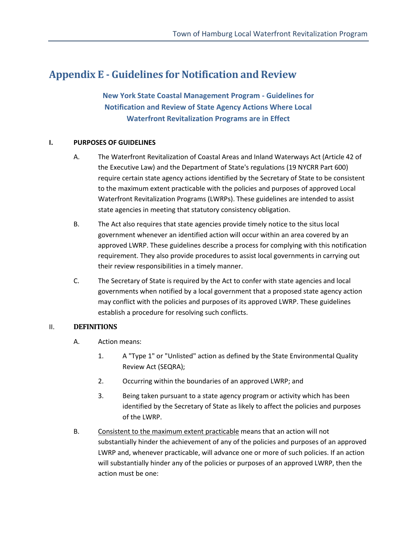# **Appendix E - Guidelines for Notification and Review**

**New York State Coastal Management Program - Guidelines for Notification and Review of State Agency Actions Where Local Waterfront Revitalization Programs are in Effect** 

#### **I. PURPOSES OF GUIDELINES**

- A. The Waterfront Revitalization of Coastal Areas and Inland Waterways Act (Article 42 of the Executive Law) and the Department of State's regulations (19 NYCRR Part 600) require certain state agency actions identified by the Secretary of State to be consistent to the maximum extent practicable with the policies and purposes of approved Local Waterfront Revitalization Programs (LWRPs). These guidelines are intended to assist state agencies in meeting that statutory consistency obligation.
- B. The Act also requires that state agencies provide timely notice to the situs local government whenever an identified action will occur within an area covered by an approved LWRP. These guidelines describe a process for complying with this notification requirement. They also provide procedures to assist local governments in carrying out their review responsibilities in a timely manner.
- C. The Secretary of State is required by the Act to confer with state agencies and local governments when notified by a local government that a proposed state agency action may conflict with the policies and purposes of its approved LWRP. These guidelines establish a procedure for resolving such conflicts.

#### II. **DEFINITIONS**

- A. Action means:
	- 1. A "Type 1" or "Unlisted" action as defined by the State Environmental Quality Review Act (SEQRA);
	- 2. Occurring within the boundaries of an approved LWRP; and
	- 3. Being taken pursuant to a state agency program or activity which has been identified by the Secretary of State as likely to affect the policies and purposes of the LWRP.
- B. Consistent to the maximum extent practicable means that an action will not substantially hinder the achievement of any of the policies and purposes of an approved LWRP and, whenever practicable, will advance one or more of such policies. If an action will substantially hinder any of the policies or purposes of an approved LWRP, then the action must be one: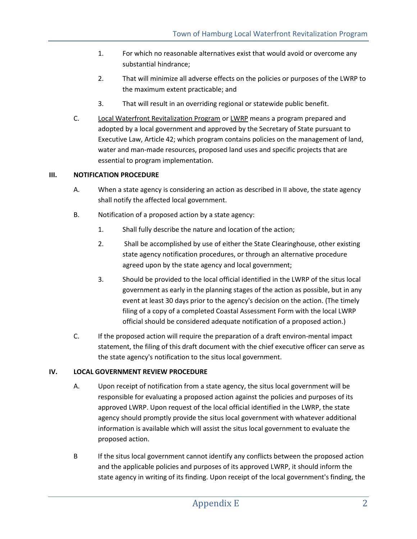- 1. For which no reasonable alternatives exist that would avoid or overcome any substantial hindrance;
- 2. That will minimize all adverse effects on the policies or purposes of the LWRP to the maximum extent practicable; and
- 3. That will result in an overriding regional or statewide public benefit.
- C. Local Waterfront Revitalization Program or LWRP means a program prepared and adopted by a local government and approved by the Secretary of State pursuant to Executive Law, Article 42; which program contains policies on the management of land, water and man-made resources, proposed land uses and specific projects that are essential to program implementation.

### **III. NOTIFICATION PROCEDURE**

- A. When a state agency is considering an action as described in II above, the state agency shall notify the affected local government.
- B. Notification of a proposed action by a state agency:
	- 1. Shall fully describe the nature and location of the action;
	- 2. Shall be accomplished by use of either the State Clearinghouse, other existing state agency notification procedures, or through an alternative procedure agreed upon by the state agency and local government;
	- 3. Should be provided to the local official identified in the LWRP of the situs local government as early in the planning stages of the action as possible, but in any event at least 30 days prior to the agency's decision on the action. (The timely filing of a copy of a completed Coastal Assessment Form with the local LWRP official should be considered adequate notification of a proposed action.)
- C. If the proposed action will require the preparation of a draft environ-mental impact statement, the filing of this draft document with the chief executive officer can serve as the state agency's notification to the situs local government.

### **IV. LOCAL GOVERNMENT REVIEW PROCEDURE**

- A. Upon receipt of notification from a state agency, the situs local government will be responsible for evaluating a proposed action against the policies and purposes of its approved LWRP. Upon request of the local official identified in the LWRP, the state agency should promptly provide the situs local government with whatever additional information is available which will assist the situs local government to evaluate the proposed action.
- B If the situs local government cannot identify any conflicts between the proposed action and the applicable policies and purposes of its approved LWRP, it should inform the state agency in writing of its finding. Upon receipt of the local government's finding, the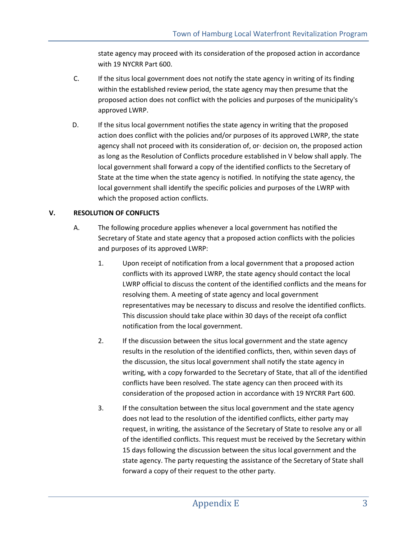state agency may proceed with its consideration of the proposed action in accordance with 19 NYCRR Part 600.

- C. If the situs local government does not notify the state agency in writing of its finding within the established review period, the state agency may then presume that the proposed action does not conflict with the policies and purposes of the municipality's approved LWRP.
- D. If the situs local government notifies the state agency in writing that the proposed action does conflict with the policies and/or purposes of its approved LWRP, the state agency shall not proceed with its consideration of, or· decision on, the proposed action as long as the Resolution of Conflicts procedure established in V below shall apply. The local government shall forward a copy of the identified conflicts to the Secretary of State at the time when the state agency is notified. In notifying the state agency, the local government shall identify the specific policies and purposes of the LWRP with which the proposed action conflicts.

## **V. RESOLUTION OF CONFLICTS**

- A. The following procedure applies whenever a local government has notified the Secretary of State and state agency that a proposed action conflicts with the policies and purposes of its approved LWRP:
	- 1. Upon receipt of notification from a local government that a proposed action conflicts with its approved LWRP, the state agency should contact the local LWRP official to discuss the content of the identified conflicts and the means for resolving them. A meeting of state agency and local government representatives may be necessary to discuss and resolve the identified conflicts. This discussion should take place within 30 days of the receipt ofa conflict notification from the local government.
	- 2. If the discussion between the situs local government and the state agency results in the resolution of the identified conflicts, then, within seven days of the discussion, the situs local government shall notify the state agency in writing, with a copy forwarded to the Secretary of State, that all of the identified conflicts have been resolved. The state agency can then proceed with its consideration of the proposed action in accordance with 19 NYCRR Part 600.
	- 3. If the consultation between the situs local government and the state agency does not lead to the resolution of the identified conflicts, either party may request, in writing, the assistance of the Secretary of State to resolve any or all of the identified conflicts. This request must be received by the Secretary within 15 days following the discussion between the situs local government and the state agency. The party requesting the assistance of the Secretary of State shall forward a copy of their request to the other party.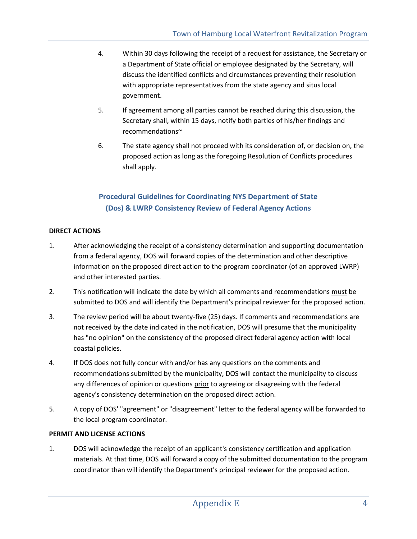- 4. Within 30 days following the receipt of a request for assistance, the Secretary or a Department of State official or employee designated by the Secretary, will discuss the identified conflicts and circumstances preventing their resolution with appropriate representatives from the state agency and situs local government.
- 5. If agreement among all parties cannot be reached during this discussion, the Secretary shall, within 15 days, notify both parties of his/her findings and recommendations~
- 6. The state agency shall not proceed with its consideration of, or decision on, the proposed action as long as the foregoing Resolution of Conflicts procedures shall apply.

# **Procedural Guidelines for Coordinating NYS Department of State (Dos) & LWRP Consistency Review of Federal Agency Actions**

### **DIRECT ACTIONS**

- 1. After acknowledging the receipt of a consistency determination and supporting documentation from a federal agency, DOS will forward copies of the determination and other descriptive information on the proposed direct action to the program coordinator (of an approved LWRP) and other interested parties.
- 2. This notification will indicate the date by which all comments and recommendations must be submitted to DOS and will identify the Department's principal reviewer for the proposed action.
- 3. The review period will be about twenty-five (25) days. If comments and recommendations are not received by the date indicated in the notification, DOS will presume that the municipality has "no opinion" on the consistency of the proposed direct federal agency action with local coastal policies.
- 4. If DOS does not fully concur with and/or has any questions on the comments and recommendations submitted by the municipality, DOS will contact the municipality to discuss any differences of opinion or questions prior to agreeing or disagreeing with the federal agency's consistency determination on the proposed direct action.
- 5. A copy of DOS' "agreement" or "disagreement" letter to the federal agency will be forwarded to the local program coordinator.

### **PERMIT AND LICENSE ACTIONS**

1. DOS will acknowledge the receipt of an applicant's consistency certification and application materials. At that time, DOS will forward a copy of the submitted documentation to the program coordinator than will identify the Department's principal reviewer for the proposed action.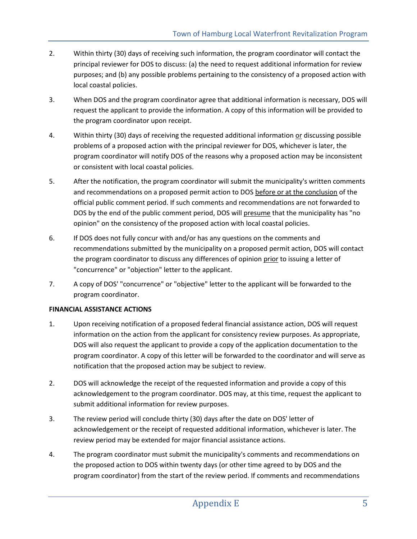- 2. Within thirty (30) days of receiving such information, the program coordinator will contact the principal reviewer for DOS to discuss: (a) the need to request additional information for review purposes; and (b) any possible problems pertaining to the consistency of a proposed action with local coastal policies.
- 3. When DOS and the program coordinator agree that additional information is necessary, DOS will request the applicant to provide the information. A copy of this information will be provided to the program coordinator upon receipt.
- 4. Within thirty (30) days of receiving the requested additional information or discussing possible problems of a proposed action with the principal reviewer for DOS, whichever is later, the program coordinator will notify DOS of the reasons why a proposed action may be inconsistent or consistent with local coastal policies.
- 5. After the notification, the program coordinator will submit the municipality's written comments and recommendations on a proposed permit action to DOS before or at the conclusion of the official public comment period. If such comments and recommendations are not forwarded to DOS by the end of the public comment period, DOS will presume that the municipality has "no opinion" on the consistency of the proposed action with local coastal policies.
- 6. If DOS does not fully concur with and/or has any questions on the comments and recommendations submitted by the municipality on a proposed permit action, DOS will contact the program coordinator to discuss any differences of opinion prior to issuing a letter of "concurrence" or "objection" letter to the applicant.
- 7. A copy of DOS' "concurrence" or "objective" letter to the applicant will be forwarded to the program coordinator.

### **FINANCIAL ASSISTANCE ACTIONS**

- 1. Upon receiving notification of a proposed federal financial assistance action, DOS will request information on the action from the applicant for consistency review purposes. As appropriate, DOS will also request the applicant to provide a copy of the application documentation to the program coordinator. A copy of this letter will be forwarded to the coordinator and will serve as notification that the proposed action may be subject to review.
- 2. DOS will acknowledge the receipt of the requested information and provide a copy of this acknowledgement to the program coordinator. DOS may, at this time, request the applicant to submit additional information for review purposes.
- 3. The review period will conclude thirty (30) days after the date on DOS' letter of acknowledgement or the receipt of requested additional information, whichever is later. The review period may be extended for major financial assistance actions.
- 4. The program coordinator must submit the municipality's comments and recommendations on the proposed action to DOS within twenty days (or other time agreed to by DOS and the program coordinator) from the start of the review period. If comments and recommendations